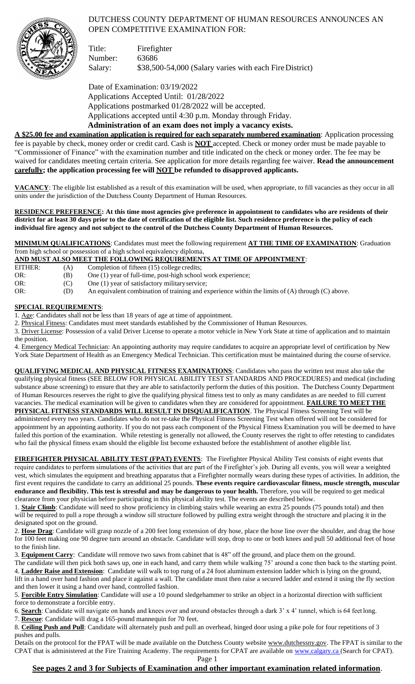# DUTCHESS COUNTY DEPARTMENT OF HUMAN RESOURCES ANNOUNCES AN OPEN COMPETITIVE EXAMINATION FOR:



Title: Firefighter Number: 63686 Salary: \$38,500-54,000 (Salary varies with each Fire District)

Date of Examination: 03/19/2022 Applications Accepted Until: 01/28/2022 Applications postmarked 01/28/2022 will be accepted. Applications accepted until 4:30 p.m. Monday through Friday.

**Administration of an exam does not imply a vacancy exists. A \$25.00 fee and examination application is required for each separately numbered examination**: Application processing fee is payable by check, money order or credit card. Cash is **NOT** accepted. Check or money order must be made payable to "Commissioner of Finance" with the examination number and title indicated on the check or money order. The fee may be waived for candidates meeting certain criteria. See application for more details regarding fee waiver. **Read the announcement carefully; the application processing fee will NOT be refunded to disapproved applicants.**

**VACANCY**: The eligible list established as a result of this examination will be used, when appropriate, to fill vacancies as they occur in all units under the jurisdiction of the Dutchess County Department of Human Resources.

**RESIDENCE PREFERENCE: At this time most agencies give preference in appointment to candidates who are residents of their district for at least 30 days prior to the date of certification of the eligible list. Such residence preference is the policy of each individual fire agency and not subject to the control of the Dutchess County Department of Human Resources.**

**MINIMUM QUALIFICATIONS**: Candidates must meet the following requirement **AT THE TIME OF EXAMINATION**: Graduation from high school or possession of a high school equivalency diploma,

## **AND MUST ALSO MEET THE FOLLOWING REQUIREMENTS AT TIME OF APPOINTMENT**:

| AND MUST ALSO MEET THE FOLLOWING REQUIREMENTS AT TIME OF ALTOINTMENT. |                                                                                                      |  |  |  |  |  |  |
|-----------------------------------------------------------------------|------------------------------------------------------------------------------------------------------|--|--|--|--|--|--|
| EITHER:<br>(A)                                                        | Completion of fifteen (15) college credits;                                                          |  |  |  |  |  |  |
| OR:<br>(B)                                                            | One (1) year of full-time, post-high school work experience;                                         |  |  |  |  |  |  |
| OR:<br>(C)                                                            | One (1) year of satisfactory military service;                                                       |  |  |  |  |  |  |
| OR:<br>(D)                                                            | An equivalent combination of training and experience within the limits of $(A)$ through $(C)$ above. |  |  |  |  |  |  |

## **SPECIAL REQUIREMENTS**:

1. Age: Candidates shall not be less than 18 years of age at time of appointment.

2. Physical Fitness: Candidates must meet standards established by the Commissioner of Human Resources.

3. Driver License: Possession of a valid Driver License to operate a motor vehicle in New York State at time of application and to maintain the position.

4. Emergency Medical Technician: An appointing authority may require candidates to acquire an appropriate level of certification by New York State Department of Health as an Emergency Medical Technician. This certification must be maintained during the course ofservice.

**QUALIFYING MEDICAL AND PHYSICAL FITNESS EXAMINATIONS**: Candidates who pass the written test must also take the qualifying physical fitness (SEE BELOW FOR PHYSICAL ABILITY TEST STANDARDS AND PROCEDURES) and medical (including substance abuse screening) to ensure that they are able to satisfactorily perform the duties of this position. The Dutchess County Department of Human Resources reserves the right to give the qualifying physical fitness test to only as many candidates as are needed to fill current vacancies. The medical examination will be given to candidates when they are considered for appointment. **FAILURE TO MEET THE** PHYSICAL FITNESS STANDARDS WILL RESULT IN DISQUALIFICATION. The Physical Fitness Screening Test will be administered every two years. Candidates who do not re-take the Physical Fitness Screening Test when offered will not be considered for

appointment by an appointing authority. If you do not pass each component of the Physical Fitness Examination you will be deemed to have failed this portion of the examination. While retesting is generally not allowed, the County reserves the right to offer retesting to candidates who fail the physical fitness exam should the eligible list become exhausted before the establishment of another eligible list.

**FIREFIGHTER PHYSICAL ABILITY TEST (FPAT) EVENTS**: The Firefighter Physical Ability Test consists of eight events that require candidates to perform simulations of the activities that are part of the Firefighter's job. During all events, you will wear a weighted vest, which simulates the equipment and breathing apparatus that a Firefighter normally wears during these types of activities. In addition, the first event requires the candidate to carry an additional 25 pounds. **These events require cardiovascular fitness, muscle strength, muscular endurance and flexibility. This test is stressful and may be dangerous to your health.** Therefore, you will be required to get medical clearance from your physician before participating in this physical ability test. The events are described below.

1. **Stair Climb**: Candidate will need to show proficiency in climbing stairs while wearing an extra 25 pounds (75 pounds total) and then will be required to pull a rope through a window sill structure followed by pulling extra weight through the structure and placing it in the designated spot on the ground.

2. **Hose Drag**: Candidate will grasp nozzle of a 200 feet long extension of dry hose, place the hose line over the shoulder, and drag the hose for 100 feet making one 90 degree turn around an obstacle. Candidate will stop, drop to one or both knees and pull 50 additional feet of hose to the finish line.

3. **Equipment Carry**: Candidate will remove two saws from cabinet that is 48" off the ground, and place them on the ground.

The candidate will then pick both saws up, one in each hand, and carry them while walking 75' around a cone then back to the starting point. 4. **Ladder Raise and Extension**: Candidate will walk to top rung of a 24 foot aluminum extension ladder which is lying on the ground, lift in a hand over hand fashion and place it against a wall. The candidate must then raise a secured ladder and extend it using the fly section and then lower it using a hand over hand, controlled fashion.

5. **Forcible Entry Simulation**: Candidate will use a 10 pound sledgehammer to strike an object in a horizontal direction with sufficient force to demonstrate a forcible entry.

6. **Search**: Candidate will navigate on hands and knees over and around obstacles through a dark 3' x 4' tunnel, which is 64 feet long.

7. **Rescue**: Candidate will drag a 165-pound mannequin for 70 feet.

8. **Ceiling Push and Pull**: Candidate will alternately push and pull an overhead, hinged door using a pike pole for four repetitions of 3 pushes and pulls.

Details on the protocol for the FPAT will be made available on the Dutchess County website [www.dutchessny.gov.](http://www.dutchessny.gov/) The FPAT is similar to the CPAT that is administered at the Fire Training Academy. The requirements for CPAT are available on [www.calgary.ca \(](http://www.calgary.ca/)Search for CPAT).

Page 1

# **See pages 2 and 3 for Subjects of Examination and other important examination related information**.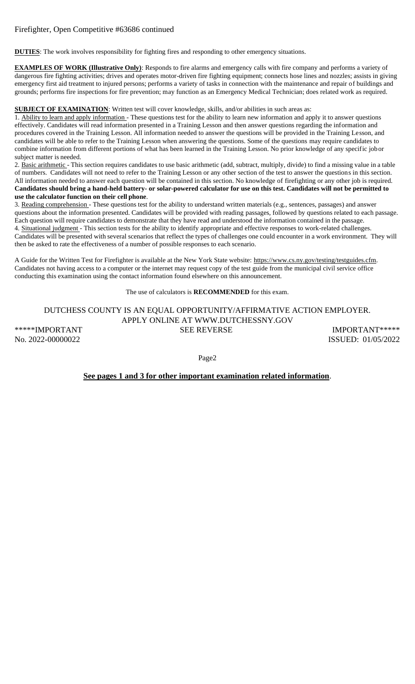## Firefighter, Open Competitive #63686 continued

**DUTIES**: The work involves responsibility for fighting fires and responding to other emergency situations.

**EXAMPLES OF WORK (Illustrative Only)**: Responds to fire alarms and emergency calls with fire company and performs a variety of dangerous fire fighting activities; drives and operates motor-driven fire fighting equipment; connects hose lines and nozzles; assists in giving emergency first aid treatment to injured persons; performs a variety of tasks in connection with the maintenance and repair of buildings and grounds; performs fire inspections for fire prevention; may function as an Emergency Medical Technician; does related work as required.

**SUBJECT OF EXAMINATION**: Written test will cover knowledge, skills, and/or abilities in such areas as:

1. Ability to learn and apply information - These questions test for the ability to learn new information and apply it to answer questions effectively. Candidates will read information presented in a Training Lesson and then answer questions regarding the information and procedures covered in the Training Lesson. All information needed to answer the questions will be provided in the Training Lesson, and candidates will be able to refer to the Training Lesson when answering the questions. Some of the questions may require candidates to combine information from different portions of what has been learned in the Training Lesson. No prior knowledge of any specific jobor subject matter is needed.

2. Basic arithmetic - This section requires candidates to use basic arithmetic (add, subtract, multiply, divide) to find a missing value in a table of numbers. Candidates will not need to refer to the Training Lesson or any other section of the test to answer the questions in this section. All information needed to answer each question will be contained in this section. No knowledge of firefighting or any other job is required. **Candidates should bring a hand-held battery- or solar-powered calculator for use on this test. Candidates will not be permitted to use the calculator function on their cell phone**.

3. Reading comprehension - These questions test for the ability to understand written materials (e.g., sentences, passages) and answer questions about the information presented. Candidates will be provided with reading passages, followed by questions related to each passage. Each question will require candidates to demonstrate that they have read and understood the information contained in the passage. 4. Situational judgment - This section tests for the ability to identify appropriate and effective responses to work-related challenges. Candidates will be presented with several scenarios that reflect the types of challenges one could encounter in a work environment. They will then be asked to rate the effectiveness of a number of possible responses to each scenario.

A Guide for the Written Test for Firefighter is available at the New York State website: http[s://ww](http://www.cs.ny.gov/testing/testguides.cfm)w[.cs.ny.gov/testing/testguides.cfm.](http://www.cs.ny.gov/testing/testguides.cfm) Candidates not having access to a computer or the internet may request copy of the test guide from the municipal civil service office conducting this examination using the contact information found elsewhere on this announcement.

The use of calculators is **RECOMMENDED** for this exam.

DUTCHESS COUNTY IS AN EQUAL OPPORTUNITY/AFFIRMATIVE ACTION EMPLOYER. APPLY ONLINE AT [WWW.DUTCHESSNY.GOV](http://www.dutchessny.gov/) \*\*\*\*\*IMPORTANT SEE REVERSE SEE REVERSE IMPORTANT\*\*\*\*\* No. 2022-00000022 ISSUED: 01/05/2022

Page2

**See pages 1 and 3 for other important examination related information**.